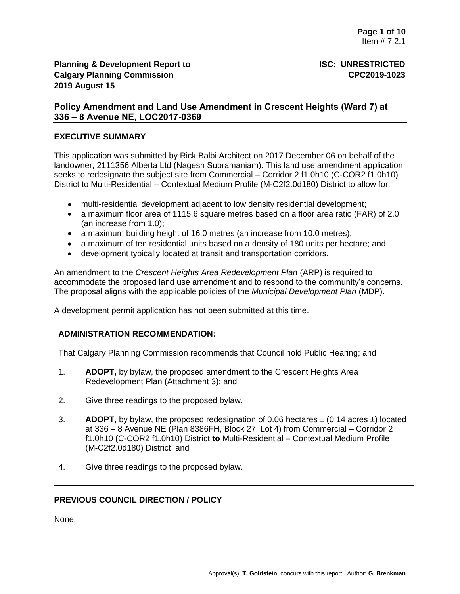# **Planning & Development Report to ISC: UNRESTRICTED Calgary Planning Commission CPC2019-1023 2019 August 15**

# **Policy Amendment and Land Use Amendment in Crescent Heights (Ward 7) at 336 – 8 Avenue NE, LOC2017-0369**

## **EXECUTIVE SUMMARY**

This application was submitted by Rick Balbi Architect on 2017 December 06 on behalf of the landowner, 2111356 Alberta Ltd (Nagesh Subramaniam). This land use amendment application seeks to redesignate the subject site from Commercial – Corridor 2 f1.0h10 (C-COR2 f1.0h10) District to Multi-Residential – Contextual Medium Profile (M-C2f2.0d180) District to allow for:

- multi-residential development adjacent to low density residential development;
- a maximum floor area of 1115.6 square metres based on a floor area ratio (FAR) of 2.0 (an increase from 1.0);
- a maximum building height of 16.0 metres (an increase from 10.0 metres);
- a maximum of ten residential units based on a density of 180 units per hectare; and
- development typically located at transit and transportation corridors.

An amendment to the *Crescent Heights Area Redevelopment Plan* (ARP) is required to accommodate the proposed land use amendment and to respond to the community's concerns. The proposal aligns with the applicable policies of the *Municipal Development Plan* (MDP).

A development permit application has not been submitted at this time.

# **ADMINISTRATION RECOMMENDATION:**

That Calgary Planning Commission recommends that Council hold Public Hearing; and

- 1. **ADOPT,** by bylaw, the proposed amendment to the Crescent Heights Area Redevelopment Plan (Attachment 3); and
- 2. Give three readings to the proposed bylaw.
- 3. **ADOPT,** by bylaw, the proposed redesignation of 0.06 hectares  $\pm$  (0.14 acres  $\pm$ ) located at 336 – 8 Avenue NE (Plan 8386FH, Block 27, Lot 4) from Commercial – Corridor 2 f1.0h10 (C-COR2 f1.0h10) District **to** Multi-Residential – Contextual Medium Profile (M-C2f2.0d180) District; and
- 4. Give three readings to the proposed bylaw.

# **PREVIOUS COUNCIL DIRECTION / POLICY**

None.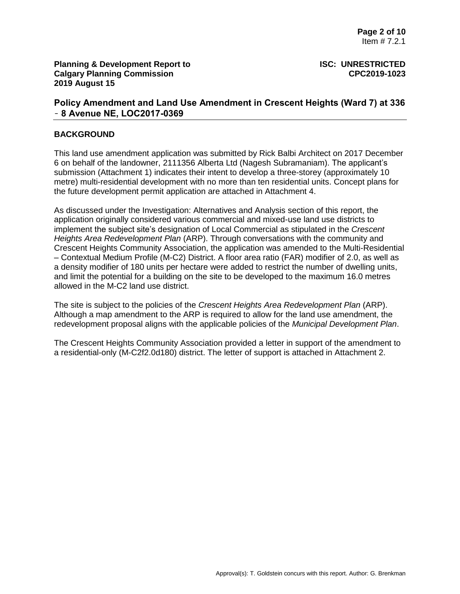## **BACKGROUND**

This land use amendment application was submitted by Rick Balbi Architect on 2017 December 6 on behalf of the landowner, 2111356 Alberta Ltd (Nagesh Subramaniam). The applicant's submission (Attachment 1) indicates their intent to develop a three-storey (approximately 10 metre) multi-residential development with no more than ten residential units. Concept plans for the future development permit application are attached in Attachment 4.

As discussed under the Investigation: Alternatives and Analysis section of this report, the application originally considered various commercial and mixed-use land use districts to implement the subject site's designation of Local Commercial as stipulated in the *Crescent Heights Area Redevelopment Plan* (ARP). Through conversations with the community and Crescent Heights Community Association, the application was amended to the Multi-Residential – Contextual Medium Profile (M-C2) District. A floor area ratio (FAR) modifier of 2.0, as well as a density modifier of 180 units per hectare were added to restrict the number of dwelling units, and limit the potential for a building on the site to be developed to the maximum 16.0 metres allowed in the M-C2 land use district.

The site is subject to the policies of the *Crescent Heights Area Redevelopment Plan* (ARP). Although a map amendment to the ARP is required to allow for the land use amendment, the redevelopment proposal aligns with the applicable policies of the *Municipal Development Plan*.

The Crescent Heights Community Association provided a letter in support of the amendment to a residential-only (M-C2f2.0d180) district. The letter of support is attached in Attachment 2.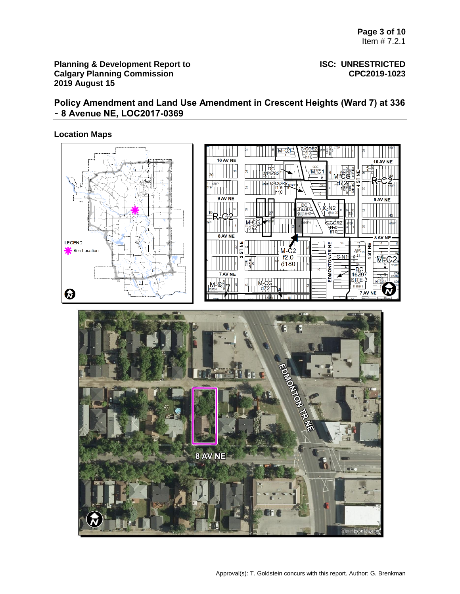## **Planning & Development Report to <b>ISC: UNRESTRICTED Calgary Planning Commission CPC2019-1023 2019 August 15**

# **Policy Amendment and Land Use Amendment in Crescent Heights (Ward 7) at 336**  – **8 Avenue NE, LOC2017-0369**

## **Location Maps**

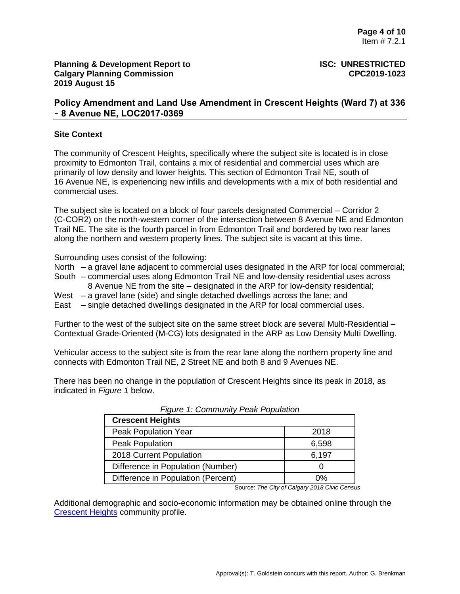## **Site Context**

The community of Crescent Heights, specifically where the subject site is located is in close proximity to Edmonton Trail, contains a mix of residential and commercial uses which are primarily of low density and lower heights. This section of Edmonton Trail NE, south of 16 Avenue NE, is experiencing new infills and developments with a mix of both residential and commercial uses.

The subject site is located on a block of four parcels designated Commercial – Corridor 2 (C-COR2) on the north-western corner of the intersection between 8 Avenue NE and Edmonton Trail NE. The site is the fourth parcel in from Edmonton Trail and bordered by two rear lanes along the northern and western property lines. The subject site is vacant at this time.

Surrounding uses consist of the following:

- North a gravel lane adjacent to commercial uses designated in the ARP for local commercial;
- South commercial uses along Edmonton Trail NE and low-density residential uses across 8 Avenue NE from the site – designated in the ARP for low-density residential;
- West a gravel lane (side) and single detached dwellings across the lane; and
- East single detached dwellings designated in the ARP for local commercial uses.

Further to the west of the subject site on the same street block are several Multi-Residential – Contextual Grade-Oriented (M-CG) lots designated in the ARP as Low Density Multi Dwelling.

Vehicular access to the subject site is from the rear lane along the northern property line and connects with Edmonton Trail NE, 2 Street NE and both 8 and 9 Avenues NE.

There has been no change in the population of Crescent Heights since its peak in 2018, as indicated in *Figure 1* below.

| <b>Crescent Heights</b>            |       |
|------------------------------------|-------|
| <b>Peak Population Year</b>        | 2018  |
| Peak Population                    | 6,598 |
| 2018 Current Population            | 6,197 |
| Difference in Population (Number)  |       |
| Difference in Population (Percent) | ሰ%    |

*Figure 1: Community Peak Population*

Source: *The City of Calgary 2018 Civic Census*

Additional demographic and socio-economic information may be obtained online through the [Crescent Heights](http://www.calgary.ca/CSPS/CNS/Pages/Social-research-policy-and-resources/Community-profiles/Crescent-Heights-Profile.aspx) community profile.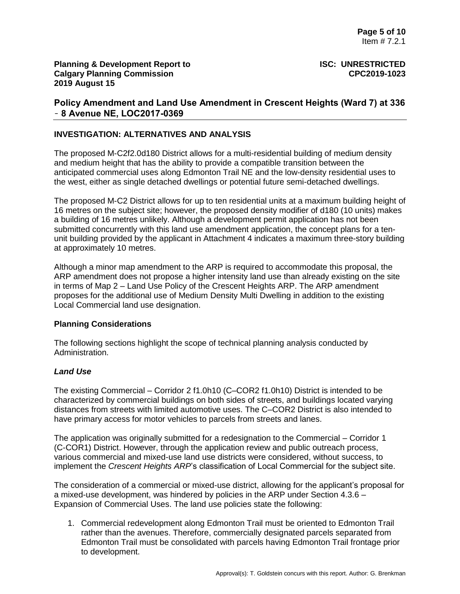# **INVESTIGATION: ALTERNATIVES AND ANALYSIS**

The proposed M-C2f2.0d180 District allows for a multi-residential building of medium density and medium height that has the ability to provide a compatible transition between the anticipated commercial uses along Edmonton Trail NE and the low-density residential uses to the west, either as single detached dwellings or potential future semi-detached dwellings.

The proposed M-C2 District allows for up to ten residential units at a maximum building height of 16 metres on the subject site; however, the proposed density modifier of d180 (10 units) makes a building of 16 metres unlikely. Although a development permit application has not been submitted concurrently with this land use amendment application, the concept plans for a tenunit building provided by the applicant in Attachment 4 indicates a maximum three-story building at approximately 10 metres.

Although a minor map amendment to the ARP is required to accommodate this proposal, the ARP amendment does not propose a higher intensity land use than already existing on the site in terms of Map 2 – Land Use Policy of the Crescent Heights ARP. The ARP amendment proposes for the additional use of Medium Density Multi Dwelling in addition to the existing Local Commercial land use designation.

### **Planning Considerations**

The following sections highlight the scope of technical planning analysis conducted by Administration.

### *Land Use*

The existing Commercial – Corridor 2 f1.0h10 (C–COR2 f1.0h10) District is intended to be characterized by commercial buildings on both sides of streets, and buildings located varying distances from streets with limited automotive uses. The C–COR2 District is also intended to have primary access for motor vehicles to parcels from streets and lanes.

The application was originally submitted for a redesignation to the Commercial – Corridor 1 (C-COR1) District. However, through the application review and public outreach process, various commercial and mixed-use land use districts were considered, without success, to implement the *Crescent Heights ARP*'s classification of Local Commercial for the subject site.

The consideration of a commercial or mixed-use district, allowing for the applicant's proposal for a mixed-use development, was hindered by policies in the ARP under Section 4.3.6 – Expansion of Commercial Uses. The land use policies state the following:

1. Commercial redevelopment along Edmonton Trail must be oriented to Edmonton Trail rather than the avenues. Therefore, commercially designated parcels separated from Edmonton Trail must be consolidated with parcels having Edmonton Trail frontage prior to development.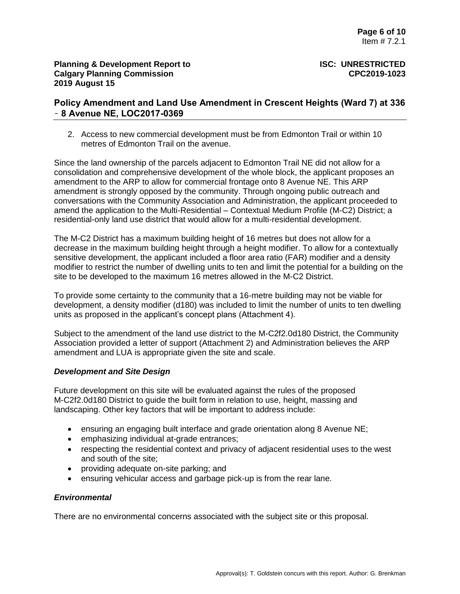2. Access to new commercial development must be from Edmonton Trail or within 10 metres of Edmonton Trail on the avenue.

Since the land ownership of the parcels adjacent to Edmonton Trail NE did not allow for a consolidation and comprehensive development of the whole block, the applicant proposes an amendment to the ARP to allow for commercial frontage onto 8 Avenue NE. This ARP amendment is strongly opposed by the community. Through ongoing public outreach and conversations with the Community Association and Administration, the applicant proceeded to amend the application to the Multi-Residential – Contextual Medium Profile (M-C2) District; a residential-only land use district that would allow for a multi-residential development.

The M-C2 District has a maximum building height of 16 metres but does not allow for a decrease in the maximum building height through a height modifier. To allow for a contextually sensitive development, the applicant included a floor area ratio (FAR) modifier and a density modifier to restrict the number of dwelling units to ten and limit the potential for a building on the site to be developed to the maximum 16 metres allowed in the M-C2 District.

To provide some certainty to the community that a 16-metre building may not be viable for development, a density modifier (d180) was included to limit the number of units to ten dwelling units as proposed in the applicant's concept plans (Attachment 4).

Subject to the amendment of the land use district to the M-C2f2.0d180 District, the Community Association provided a letter of support (Attachment 2) and Administration believes the ARP amendment and LUA is appropriate given the site and scale.

# *Development and Site Design*

Future development on this site will be evaluated against the rules of the proposed M-C2f2.0d180 District to guide the built form in relation to use, height, massing and landscaping. Other key factors that will be important to address include:

- ensuring an engaging built interface and grade orientation along 8 Avenue NE;
- emphasizing individual at-grade entrances;
- respecting the residential context and privacy of adjacent residential uses to the west and south of the site;
- providing adequate on-site parking; and
- ensuring vehicular access and garbage pick-up is from the rear lane.

# *Environmental*

There are no environmental concerns associated with the subject site or this proposal.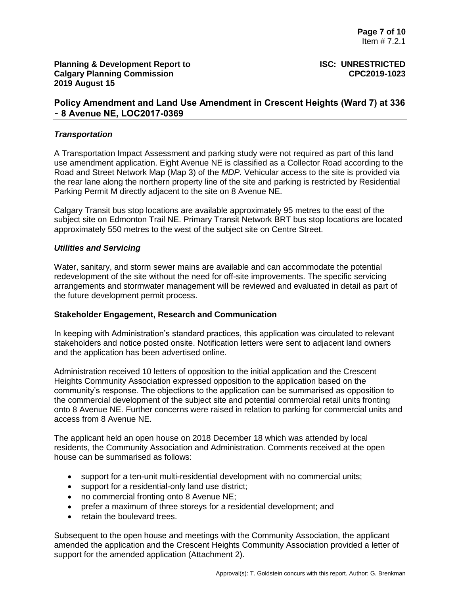## *Transportation*

A Transportation Impact Assessment and parking study were not required as part of this land use amendment application. Eight Avenue NE is classified as a Collector Road according to the Road and Street Network Map (Map 3) of the *MDP*. Vehicular access to the site is provided via the rear lane along the northern property line of the site and parking is restricted by Residential Parking Permit M directly adjacent to the site on 8 Avenue NE.

Calgary Transit bus stop locations are available approximately 95 metres to the east of the subject site on Edmonton Trail NE. Primary Transit Network BRT bus stop locations are located approximately 550 metres to the west of the subject site on Centre Street.

### *Utilities and Servicing*

Water, sanitary, and storm sewer mains are available and can accommodate the potential redevelopment of the site without the need for off-site improvements. The specific servicing arrangements and stormwater management will be reviewed and evaluated in detail as part of the future development permit process.

### **Stakeholder Engagement, Research and Communication**

In keeping with Administration's standard practices, this application was circulated to relevant stakeholders and notice posted onsite. Notification letters were sent to adjacent land owners and the application has been advertised online.

Administration received 10 letters of opposition to the initial application and the Crescent Heights Community Association expressed opposition to the application based on the community's response. The objections to the application can be summarised as opposition to the commercial development of the subject site and potential commercial retail units fronting onto 8 Avenue NE. Further concerns were raised in relation to parking for commercial units and access from 8 Avenue NE.

The applicant held an open house on 2018 December 18 which was attended by local residents, the Community Association and Administration. Comments received at the open house can be summarised as follows:

- support for a ten-unit multi-residential development with no commercial units;
- support for a residential-only land use district;
- no commercial fronting onto 8 Avenue NE;
- prefer a maximum of three storeys for a residential development; and
- retain the boulevard trees.

Subsequent to the open house and meetings with the Community Association, the applicant amended the application and the Crescent Heights Community Association provided a letter of support for the amended application (Attachment 2).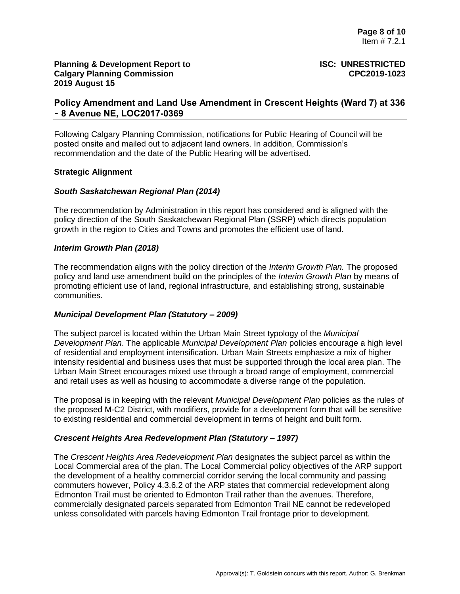# **Planning & Development Report to ISC: UNRESTRICTED Calgary Planning Commission CPC2019-1023 2019 August 15**

# **Policy Amendment and Land Use Amendment in Crescent Heights (Ward 7) at 336**  – **8 Avenue NE, LOC2017-0369**

Following Calgary Planning Commission, notifications for Public Hearing of Council will be posted onsite and mailed out to adjacent land owners. In addition, Commission's recommendation and the date of the Public Hearing will be advertised.

## **Strategic Alignment**

## *South Saskatchewan Regional Plan (2014)*

The recommendation by Administration in this report has considered and is aligned with the policy direction of the South Saskatchewan Regional Plan (SSRP) which directs population growth in the region to Cities and Towns and promotes the efficient use of land.

## *Interim Growth Plan (2018)*

The recommendation aligns with the policy direction of the *Interim Growth Plan.* The proposed policy and land use amendment build on the principles of the *Interim Growth Plan* by means of promoting efficient use of land, regional infrastructure, and establishing strong, sustainable communities.

### *Municipal Development Plan (Statutory – 2009)*

The subject parcel is located within the Urban Main Street typology of the *Municipal Development Plan*. The applicable *Municipal Development Plan* policies encourage a high level of residential and employment intensification. Urban Main Streets emphasize a mix of higher intensity residential and business uses that must be supported through the local area plan. The Urban Main Street encourages mixed use through a broad range of employment, commercial and retail uses as well as housing to accommodate a diverse range of the population.

The proposal is in keeping with the relevant *Municipal Development Plan* policies as the rules of the proposed M-C2 District, with modifiers, provide for a development form that will be sensitive to existing residential and commercial development in terms of height and built form.

### *Crescent Heights Area Redevelopment Plan (Statutory – 1997)*

The *Crescent Heights Area Redevelopment Plan* designates the subject parcel as within the Local Commercial area of the plan. The Local Commercial policy objectives of the ARP support the development of a healthy commercial corridor serving the local community and passing commuters however, Policy 4.3.6.2 of the ARP states that commercial redevelopment along Edmonton Trail must be oriented to Edmonton Trail rather than the avenues. Therefore, commercially designated parcels separated from Edmonton Trail NE cannot be redeveloped unless consolidated with parcels having Edmonton Trail frontage prior to development.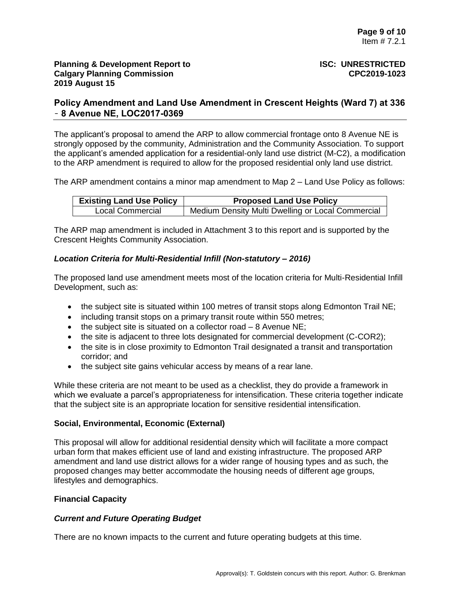The applicant's proposal to amend the ARP to allow commercial frontage onto 8 Avenue NE is strongly opposed by the community, Administration and the Community Association. To support the applicant's amended application for a residential-only land use district (M-C2), a modification to the ARP amendment is required to allow for the proposed residential only land use district.

The ARP amendment contains a minor map amendment to Map 2 – Land Use Policy as follows:

| <b>Existing Land Use Policy</b> | <b>Proposed Land Use Policy</b>                   |
|---------------------------------|---------------------------------------------------|
| <b>Local Commercial</b>         | Medium Density Multi Dwelling or Local Commercial |

The ARP map amendment is included in Attachment 3 to this report and is supported by the Crescent Heights Community Association.

# *Location Criteria for Multi-Residential Infill (Non-statutory – 2016)*

The proposed land use amendment meets most of the location criteria for Multi-Residential Infill Development, such as:

- $\bullet$  the subject site is situated within 100 metres of transit stops along Edmonton Trail NE;
- including transit stops on a primary transit route within 550 metres;
- $\bullet$  the subject site is situated on a collector road  $-8$  Avenue NE:
- the site is adjacent to three lots designated for commercial development (C-COR2);
- the site is in close proximity to Edmonton Trail designated a transit and transportation corridor; and
- the subject site gains vehicular access by means of a rear lane.

While these criteria are not meant to be used as a checklist, they do provide a framework in which we evaluate a parcel's appropriateness for intensification. These criteria together indicate that the subject site is an appropriate location for sensitive residential intensification.

# **Social, Environmental, Economic (External)**

This proposal will allow for additional residential density which will facilitate a more compact urban form that makes efficient use of land and existing infrastructure. The proposed ARP amendment and land use district allows for a wider range of housing types and as such, the proposed changes may better accommodate the housing needs of different age groups, lifestyles and demographics.

# **Financial Capacity**

# *Current and Future Operating Budget*

There are no known impacts to the current and future operating budgets at this time.